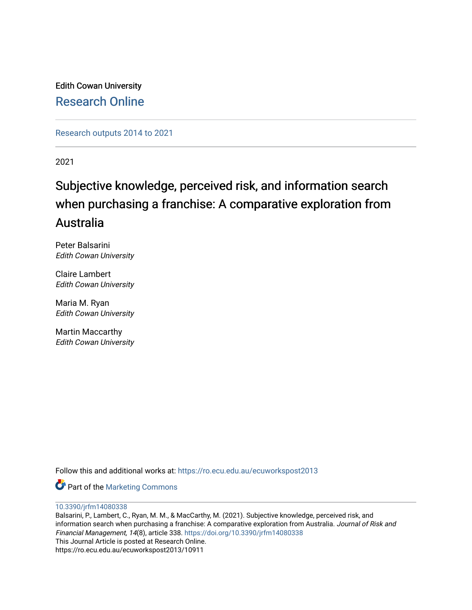Edith Cowan University [Research Online](https://ro.ecu.edu.au/) 

[Research outputs 2014 to 2021](https://ro.ecu.edu.au/ecuworkspost2013) 

2021

# Subjective knowledge, perceived risk, and information search when purchasing a franchise: A comparative exploration from Australia

Peter Balsarini Edith Cowan University

Claire Lambert Edith Cowan University

Maria M. Ryan Edith Cowan University

Martin Maccarthy Edith Cowan University

Follow this and additional works at: [https://ro.ecu.edu.au/ecuworkspost2013](https://ro.ecu.edu.au/ecuworkspost2013?utm_source=ro.ecu.edu.au%2Fecuworkspost2013%2F10911&utm_medium=PDF&utm_campaign=PDFCoverPages) 

**Part of the [Marketing Commons](http://network.bepress.com/hgg/discipline/638?utm_source=ro.ecu.edu.au%2Fecuworkspost2013%2F10911&utm_medium=PDF&utm_campaign=PDFCoverPages)** 

[10.3390/jrfm14080338](http://dx.doi.org/10.3390/jrfm14080338)

Balsarini, P., Lambert, C., Ryan, M. M., & MacCarthy, M. (2021). Subjective knowledge, perceived risk, and information search when purchasing a franchise: A comparative exploration from Australia. Journal of Risk and Financial Management, 14(8), article 338.<https://doi.org/10.3390/jrfm14080338> This Journal Article is posted at Research Online. https://ro.ecu.edu.au/ecuworkspost2013/10911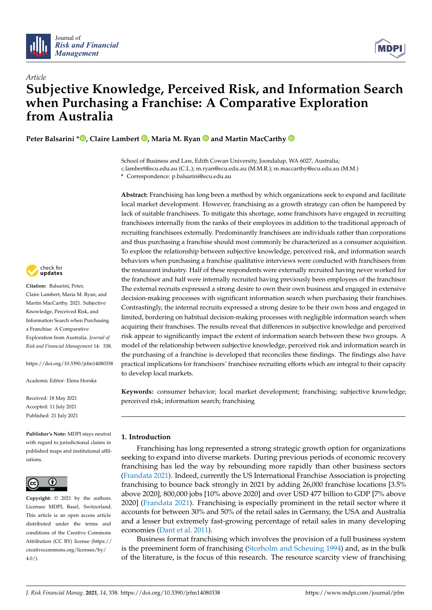



# *Article* **Subjective Knowledge, Perceived Risk, and Information Search when Purchasing a Franchise: A Comparative Exploration from Australia**

**Peter Balsarini \* [,](https://orcid.org/0000-0002-7825-4495) Claire Lambert [,](https://orcid.org/0000-0002-0020-2599) Maria M. Ryan and Martin MacCarthy**

School of Business and Law, Edith Cowan University, Joondalup, WA 6027, Australia; c.lambert@ecu.edu.au (C.L.); m.ryan@ecu.edu.au (M.M.R.); m.maccarthy@ecu.edu.au (M.M.)

**\*** Correspondence: p.balsarini@ecu.edu.au

**Abstract:** Franchising has long been a method by which organizations seek to expand and facilitate local market development. However, franchising as a growth strategy can often be hampered by lack of suitable franchisees. To mitigate this shortage, some franchisors have engaged in recruiting franchisees internally from the ranks of their employees in addition to the traditional approach of recruiting franchisees externally. Predominantly franchisees are individuals rather than corporations and thus purchasing a franchise should most commonly be characterized as a consumer acquisition. To explore the relationship between subjective knowledge, perceived risk, and information search behaviors when purchasing a franchise qualitative interviews were conducted with franchisees from the restaurant industry. Half of these respondents were externally recruited having never worked for the franchisor and half were internally recruited having previously been employees of the franchisor. The external recruits expressed a strong desire to own their own business and engaged in extensive decision-making processes with significant information search when purchasing their franchises. Contrastingly, the internal recruits expressed a strong desire to be their own boss and engaged in limited, bordering on habitual decision-making processes with negligible information search when acquiring their franchises. The results reveal that differences in subjective knowledge and perceived risk appear to significantly impact the extent of information search between these two groups. A model of the relationship between subjective knowledge, perceived risk and information search in the purchasing of a franchise is developed that reconciles these findings. The findings also have practical implications for franchisors' franchisee recruiting efforts which are integral to their capacity to develop local markets.

**Keywords:** consumer behavior; local market development; franchising; subjective knowledge; perceived risk; information search; franchising

# **1. Introduction**

Franchising has long represented a strong strategic growth option for organizations seeking to expand into diverse markets. During previous periods of economic recovery franchising has led the way by rebounding more rapidly than other business sectors [\(Frandata](#page-15-0) [2021\)](#page-15-0). Indeed, currently the US International Franchise Association is projecting franchising to bounce back strongly in 2021 by adding 26,000 franchise locations [3.5% above 2020], 800,000 jobs [10% above 2020] and over USD 477 billion to GDP [7% above 2020] [\(Frandata](#page-15-0) [2021\)](#page-15-0). Franchising is especially prominent in the retail sector where it accounts for between 30% and 50% of the retail sales in Germany, the USA and Australia and a lesser but extremely fast-growing percentage of retail sales in many developing economies [\(Dant et al.](#page-14-0) [2011\)](#page-14-0).

Business format franchising which involves the provision of a full business system is the preeminent form of franchising [\(Storholm and Scheuing](#page-16-0) [1994\)](#page-16-0) and, as in the bulk of the literature, is the focus of this research. The resource scarcity view of franchising



**Citation:** Balsarini, Peter, Claire Lambert, Maria M. Ryan, and Martin MacCarthy. 2021. Subjective Knowledge, Perceived Risk, and Information Search when Purchasing a Franchise: A Comparative Exploration from Australia. *Journal of Risk and Financial Management* 14: 338.

<https://doi.org/10.3390/jrfm14080338>

Academic Editor: Elena Horska

Received: 18 May 2021 Accepted: 11 July 2021 Published: 21 July 2021

**Publisher's Note:** MDPI stays neutral with regard to jurisdictional claims in published maps and institutional affiliations.



**Copyright:** © 2021 by the authors. Licensee MDPI, Basel, Switzerland. This article is an open access article distributed under the terms and conditions of the Creative Commons Attribution (CC BY) license (https:/[/](https://creativecommons.org/licenses/by/4.0/) [creativecommons.org/licenses/by/](https://creativecommons.org/licenses/by/4.0/)  $4.0/$ ).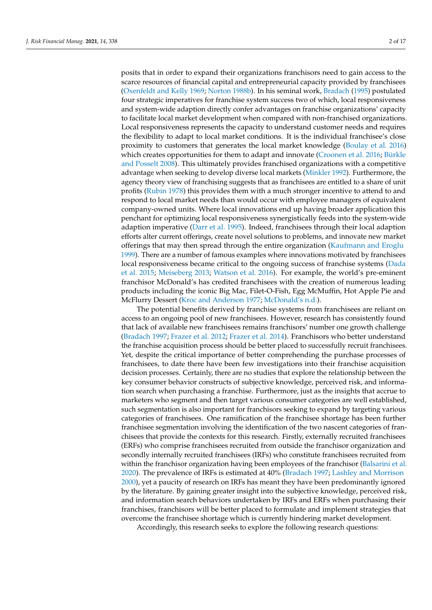posits that in order to expand their organizations franchisors need to gain access to the scarce resources of financial capital and entrepreneurial capacity provided by franchisees [\(Oxenfeldt and Kelly](#page-16-1) [1969;](#page-16-1) [Norton](#page-16-2) [1988b\)](#page-16-2). In his seminal work, [Bradach](#page-14-1) [\(1995\)](#page-14-1) postulated four strategic imperatives for franchise system success two of which, local responsiveness and system-wide adaption directly confer advantages on franchise organizations' capacity to facilitate local market development when compared with non-franchised organizations. Local responsiveness represents the capacity to understand customer needs and requires the flexibility to adapt to local market conditions. It is the individual franchisee's close proximity to customers that generates the local market knowledge [\(Boulay et al.](#page-14-2) [2016\)](#page-14-2) which creates opportunities for them to adapt and innovate [\(Croonen et al.](#page-14-3) [2016;](#page-14-3) [Bürkle](#page-14-4) [and Posselt](#page-14-4) [2008\)](#page-14-4). This ultimately provides franchised organizations with a competitive advantage when seeking to develop diverse local markets [\(Minkler](#page-16-3) [1992\)](#page-16-3). Furthermore, the agency theory view of franchising suggests that as franchisees are entitled to a share of unit profits [\(Rubin](#page-16-4) [1978\)](#page-16-4) this provides them with a much stronger incentive to attend to and respond to local market needs than would occur with employee managers of equivalent company-owned units. Where local innovations end up having broader application this penchant for optimizing local responsiveness synergistically feeds into the system-wide adaption imperative [\(Darr et al.](#page-14-5) [1995\)](#page-14-5). Indeed, franchisees through their local adaption efforts alter current offerings, create novel solutions to problems, and innovate new market offerings that may then spread through the entire organization [\(Kaufmann and Eroglu](#page-15-1) [1999\)](#page-15-1). There are a number of famous examples where innovations motivated by franchisees local responsiveness became critical to the ongoing success of franchise systems [\(Dada](#page-14-6) [et al.](#page-14-6) [2015;](#page-14-6) [Meiseberg](#page-16-5) [2013;](#page-16-5) [Watson et al.](#page-17-0) [2016\)](#page-17-0). For example, the world's pre-eminent franchisor McDonald's has credited franchisees with the creation of numerous leading products including the iconic Big Mac, Filet-O-Fish, Egg McMuffin, Hot Apple Pie and McFlurry Dessert [\(Kroc and Anderson](#page-15-2) [1977;](#page-15-2) [McDonald's](#page-15-3) [n.d.\)](#page-15-3).

The potential benefits derived by franchise systems from franchisees are reliant on access to an ongoing pool of new franchisees. However, research has consistently found that lack of available new franchisees remains franchisors' number one growth challenge [\(Bradach](#page-14-7) [1997;](#page-14-7) [Frazer et al.](#page-15-4) [2012;](#page-15-4) [Frazer et al.](#page-15-5) [2014\)](#page-15-5). Franchisors who better understand the franchise acquisition process should be better placed to successfully recruit franchisees. Yet, despite the critical importance of better comprehending the purchase processes of franchisees, to date there have been few investigations into their franchise acquisition decision processes. Certainly, there are no studies that explore the relationship between the key consumer behavior constructs of subjective knowledge, perceived risk, and information search when purchasing a franchise. Furthermore, just as the insights that accrue to marketers who segment and then target various consumer categories are well established, such segmentation is also important for franchisors seeking to expand by targeting various categories of franchisees. One ramification of the franchisee shortage has been further franchisee segmentation involving the identification of the two nascent categories of franchisees that provide the contexts for this research. Firstly, externally recruited franchisees (ERFs) who comprise franchisees recruited from outside the franchisor organization and secondly internally recruited franchisees (IRFs) who constitute franchisees recruited from within the franchisor organization having been employees of the franchisor [\(Balsarini et al.](#page-14-8) [2020\)](#page-14-8). The prevalence of IRFs is estimated at 40% [\(Bradach](#page-14-7) [1997;](#page-14-7) [Lashley and Morrison](#page-15-6) [2000\)](#page-15-6), yet a paucity of research on IRFs has meant they have been predominantly ignored by the literature. By gaining greater insight into the subjective knowledge, perceived risk, and information search behaviors undertaken by IRFs and ERFs when purchasing their franchises, franchisors will be better placed to formulate and implement strategies that overcome the franchisee shortage which is currently hindering market development.

Accordingly, this research seeks to explore the following research questions: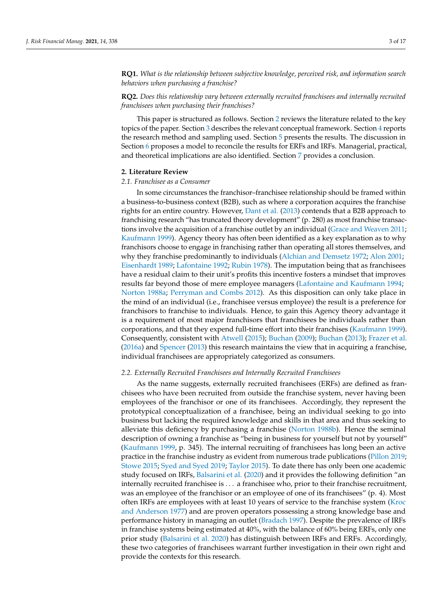**RQ1.** *What is the relationship between subjective knowledge, perceived risk, and information search behaviors when purchasing a franchise?*

# **RQ2.** *Does this relationship vary between externally recruited franchisees and internally recruited franchisees when purchasing their franchises?*

This paper is structured as follows. Section [2](#page-3-0) reviews the literature related to the key topics of the paper. Section [3](#page-5-0) describes the relevant conceptual framework. Section [4](#page-6-0) reports the research method and sampling used. Section [5](#page-7-0) presents the results. The discussion in Section [6](#page-11-0) proposes a model to reconcile the results for ERFs and IRFs. Managerial, practical, and theoretical implications are also identified. Section [7](#page-13-0) provides a conclusion.

#### <span id="page-3-0"></span>**2. Literature Review**

#### *2.1. Franchisee as a Consumer*

In some circumstances the franchisor–franchisee relationship should be framed within a business-to-business context (B2B), such as where a corporation acquires the franchise rights for an entire country. However, [Dant et al.](#page-14-9) [\(2013\)](#page-14-9) contends that a B2B approach to franchising research "has truncated theory development" (p. 280) as most franchise transactions involve the acquisition of a franchise outlet by an individual [\(Grace and Weaven](#page-15-7) [2011;](#page-15-7) [Kaufmann](#page-15-8) [1999\)](#page-15-8). Agency theory has often been identified as a key explanation as to why franchisors choose to engage in franchising rather than operating all stores themselves, and why they franchise predominantly to individuals [\(Alchian and Demsetz](#page-14-10) [1972;](#page-14-10) [Alon](#page-14-11) [2001;](#page-14-11) [Eisenhardt](#page-14-12) [1989;](#page-14-12) [Lafontaine](#page-15-9) [1992;](#page-15-9) [Rubin](#page-16-4) [1978\)](#page-16-4). The imputation being that as franchisees have a residual claim to their unit's profits this incentive fosters a mindset that improves results far beyond those of mere employee managers [\(Lafontaine and Kaufmann](#page-15-10) [1994;](#page-15-10) [Norton](#page-16-6) [1988a;](#page-16-6) [Perryman and Combs](#page-16-7) [2012\)](#page-16-7). As this disposition can only take place in the mind of an individual (i.e., franchisee versus employee) the result is a preference for franchisors to franchise to individuals. Hence, to gain this Agency theory advantage it is a requirement of most major franchisors that franchisees be individuals rather than corporations, and that they expend full-time effort into their franchises [\(Kaufmann](#page-15-8) [1999\)](#page-15-8). Consequently, consistent with [Atwell](#page-14-13) [\(2015\)](#page-14-13); [Buchan](#page-14-14) [\(2009\)](#page-14-14); [Buchan](#page-14-15) [\(2013\)](#page-14-15); [Frazer et al.](#page-15-11) [\(2016a\)](#page-15-11) and [Spencer](#page-16-8) [\(2013\)](#page-16-8) this research maintains the view that in acquiring a franchise, individual franchisees are appropriately categorized as consumers.

#### *2.2. Externally Recruited Franchisees and Internally Recruited Franchisees*

As the name suggests, externally recruited franchisees (ERFs) are defined as franchisees who have been recruited from outside the franchise system, never having been employees of the franchisor or one of its franchisees. Accordingly, they represent the prototypical conceptualization of a franchisee, being an individual seeking to go into business but lacking the required knowledge and skills in that area and thus seeking to alleviate this deficiency by purchasing a franchise [\(Norton](#page-16-2) [1988b\)](#page-16-2). Hence the seminal description of owning a franchise as "being in business for yourself but not by yourself" [\(Kaufmann](#page-15-8) [1999,](#page-15-8) p. 345). The internal recruiting of franchisees has long been an active practice in the franchise industry as evident from numerous trade publications [\(Pillon](#page-16-9) [2019;](#page-16-9) [Stowe](#page-16-10) [2015;](#page-16-10) [Syed and Syed](#page-16-11) [2019;](#page-16-11) [Taylor](#page-16-12) [2015\)](#page-16-12). To date there has only been one academic study focused on IRFs, [Balsarini et al.](#page-14-8) [\(2020\)](#page-14-8) and it provides the following definition "an internally recruited franchisee is . . . a franchisee who, prior to their franchise recruitment, was an employee of the franchisor or an employee of one of its franchisees" (p. 4). Most often IRFs are employees with at least 10 years of service to the franchise system [\(Kroc](#page-15-2) [and Anderson](#page-15-2) [1977\)](#page-15-2) and are proven operators possessing a strong knowledge base and performance history in managing an outlet [\(Bradach](#page-14-7) [1997\)](#page-14-7). Despite the prevalence of IRFs in franchise systems being estimated at 40%, with the balance of 60% being ERFs, only one prior study [\(Balsarini et al.](#page-14-8) [2020\)](#page-14-8) has distinguish between IRFs and ERFs. Accordingly, these two categories of franchisees warrant further investigation in their own right and provide the contexts for this research.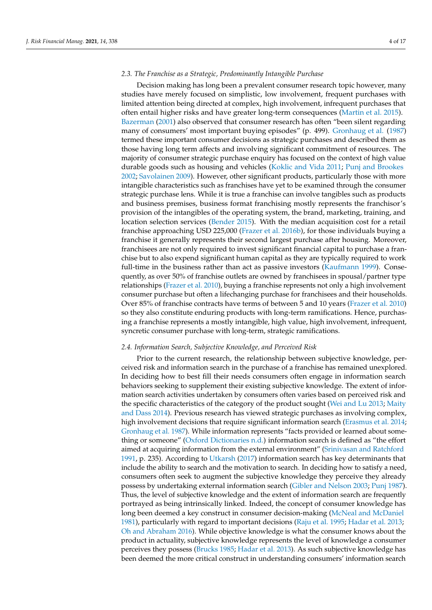## *2.3. The Franchise as a Strategic, Predominantly Intangible Purchase*

Decision making has long been a prevalent consumer research topic however, many studies have merely focused on simplistic, low involvement, frequent purchases with limited attention being directed at complex, high involvement, infrequent purchases that often entail higher risks and have greater long-term consequences [\(Martin et al.](#page-15-12) [2015\)](#page-15-12). [Bazerman](#page-14-16) [\(2001\)](#page-14-16) also observed that consumer research has often "been silent regarding many of consumers' most important buying episodes" (p. 499). [Gronhaug et al.](#page-15-13) [\(1987\)](#page-15-13) termed these important consumer decisions as strategic purchases and described them as those having long term affects and involving significant commitment of resources. The majority of consumer strategic purchase enquiry has focused on the context of high value durable goods such as housing and vehicles [\(Koklic and Vida](#page-15-14) [2011;](#page-15-14) [Punj and Brookes](#page-16-13) [2002;](#page-16-13) [Savolainen](#page-16-14) [2009\)](#page-16-14). However, other significant products, particularly those with more intangible characteristics such as franchises have yet to be examined through the consumer strategic purchase lens. While it is true a franchise can involve tangibles such as products and business premises, business format franchising mostly represents the franchisor's provision of the intangibles of the operating system, the brand, marketing, training, and location selection services [\(Bender](#page-14-17) [2015\)](#page-14-17). With the median acquisition cost for a retail franchise approaching USD 225,000 [\(Frazer et al.](#page-15-15) [2016b\)](#page-15-15), for those individuals buying a franchise it generally represents their second largest purchase after housing. Moreover, franchisees are not only required to invest significant financial capital to purchase a franchise but to also expend significant human capital as they are typically required to work full-time in the business rather than act as passive investors [\(Kaufmann](#page-15-8) [1999\)](#page-15-8). Consequently, as over 50% of franchise outlets are owned by franchisees in spousal/partner type relationships [\(Frazer et al.](#page-15-16) [2010\)](#page-15-16), buying a franchise represents not only a high involvement consumer purchase but often a lifechanging purchase for franchisees and their households. Over 85% of franchise contracts have terms of between 5 and 10 years [\(Frazer et al.](#page-15-16) [2010\)](#page-15-16) so they also constitute enduring products with long-term ramifications. Hence, purchasing a franchise represents a mostly intangible, high value, high involvement, infrequent, syncretic consumer purchase with long-term, strategic ramifications.

#### *2.4. Information Search, Subjective Knowledge, and Perceived Risk*

Prior to the current research, the relationship between subjective knowledge, perceived risk and information search in the purchase of a franchise has remained unexplored. In deciding how to best fill their needs consumers often engage in information search behaviors seeking to supplement their existing subjective knowledge. The extent of information search activities undertaken by consumers often varies based on perceived risk and the specific characteristics of the category of the product sought [\(Wei and Lu](#page-17-1) [2013;](#page-17-1) [Maity](#page-15-17) [and Dass](#page-15-17) [2014\)](#page-15-17). Previous research has viewed strategic purchases as involving complex, high involvement decisions that require significant information search [\(Erasmus et al.](#page-14-18) [2014;](#page-14-18) [Gronhaug et al.](#page-15-13) [1987\)](#page-15-13). While information represents "facts provided or learned about something or someone" [\(Oxford Dictionaries](#page-16-15) [n.d.\)](#page-16-15) information search is defined as "the effort aimed at acquiring information from the external environment" [\(Srinivasan and Ratchford](#page-16-16) [1991,](#page-16-16) p. 235). According to [Utkarsh](#page-16-17) [\(2017\)](#page-16-17) information search has key determinants that include the ability to search and the motivation to search. In deciding how to satisfy a need, consumers often seek to augment the subjective knowledge they perceive they already possess by undertaking external information search [\(Gibler and Nelson](#page-15-18) [2003;](#page-15-18) [Punj](#page-16-18) [1987\)](#page-16-18). Thus, the level of subjective knowledge and the extent of information search are frequently portrayed as being intrinsically linked. Indeed, the concept of consumer knowledge has long been deemed a key construct in consumer decision-making [\(McNeal and McDaniel](#page-16-19) [1981\)](#page-16-19), particularly with regard to important decisions [\(Raju et al.](#page-16-20) [1995;](#page-16-20) [Hadar et al.](#page-15-19) [2013;](#page-15-19) [Oh and Abraham](#page-16-21) [2016\)](#page-16-21). While objective knowledge is what the consumer knows about the product in actuality, subjective knowledge represents the level of knowledge a consumer perceives they possess [\(Brucks](#page-14-19) [1985;](#page-14-19) [Hadar et al.](#page-15-19) [2013\)](#page-15-19). As such subjective knowledge has been deemed the more critical construct in understanding consumers' information search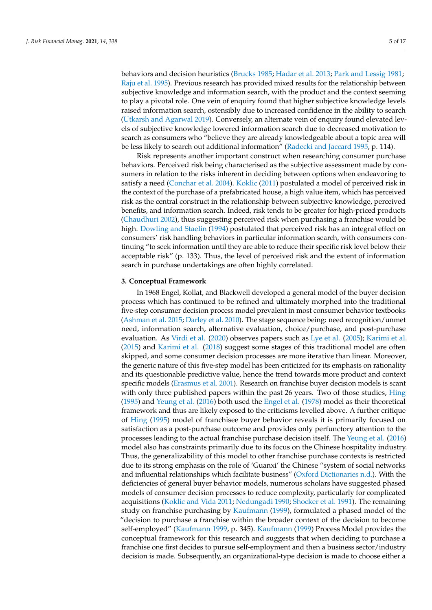behaviors and decision heuristics [\(Brucks](#page-14-19) [1985;](#page-14-19) [Hadar et al.](#page-15-19) [2013;](#page-15-19) [Park and Lessig](#page-16-22) [1981;](#page-16-22) [Raju et al.](#page-16-20) [1995\)](#page-16-20). Previous research has provided mixed results for the relationship between subjective knowledge and information search, with the product and the context seeming to play a pivotal role. One vein of enquiry found that higher subjective knowledge levels raised information search, ostensibly due to increased confidence in the ability to search [\(Utkarsh and Agarwal](#page-16-23) [2019\)](#page-16-23). Conversely, an alternate vein of enquiry found elevated levels of subjective knowledge lowered information search due to decreased motivation to

be less likely to search out additional information" [\(Radecki and Jaccard](#page-16-24) [1995,](#page-16-24) p. 114). Risk represents another important construct when researching consumer purchase behaviors. Perceived risk being characterised as the subjective assessment made by consumers in relation to the risks inherent in deciding between options when endeavoring to satisfy a need [\(Conchar et al.](#page-14-20) [2004\)](#page-14-20). [Koklic](#page-15-20) [\(2011\)](#page-15-20) postulated a model of perceived risk in the context of the purchase of a prefabricated house, a high value item, which has perceived risk as the central construct in the relationship between subjective knowledge, perceived benefits, and information search. Indeed, risk tends to be greater for high-priced products [\(Chaudhuri](#page-14-21) [2002\)](#page-14-21), thus suggesting perceived risk when purchasing a franchise would be high. [Dowling and Staelin](#page-14-22) [\(1994\)](#page-14-22) postulated that perceived risk has an integral effect on consumers' risk handling behaviors in particular information search, with consumers continuing "to seek information until they are able to reduce their specific risk level below their acceptable risk" (p. 133). Thus, the level of perceived risk and the extent of information search in purchase undertakings are often highly correlated.

search as consumers who "believe they are already knowledgeable about a topic area will

#### <span id="page-5-0"></span>**3. Conceptual Framework**

In 1968 Engel, Kollat, and Blackwell developed a general model of the buyer decision process which has continued to be refined and ultimately morphed into the traditional five-step consumer decision process model prevalent in most consumer behavior textbooks [\(Ashman et al.](#page-14-23) [2015;](#page-14-23) [Darley et al.](#page-14-24) [2010\)](#page-14-24). The stage sequence being: need recognition/unmet need, information search, alternative evaluation, choice/purchase, and post-purchase evaluation. As [Virdi et al.](#page-16-25) [\(2020\)](#page-16-25) observes papers such as [Lye et al.](#page-15-21) [\(2005\)](#page-15-21); [Karimi et al.](#page-15-22) [\(2015\)](#page-15-22) and [Karimi et al.](#page-15-23) [\(2018\)](#page-15-23) suggest some stages of this traditional model are often skipped, and some consumer decision processes are more iterative than linear. Moreover, the generic nature of this five-step model has been criticized for its emphasis on rationality and its questionable predictive value, hence the trend towards more product and context specific models [\(Erasmus et al.](#page-14-25) [2001\)](#page-14-25). Research on franchise buyer decision models is scant with only three published papers within the past 26 years. Two of those studies, [Hing](#page-15-24) [\(1995\)](#page-15-24) and [Yeung et al.](#page-17-2) [\(2016\)](#page-17-2) both used the [Engel et al.](#page-14-26) [\(1978\)](#page-14-26) model as their theoretical framework and thus are likely exposed to the criticisms levelled above. A further critique of [Hing](#page-15-24) [\(1995\)](#page-15-24) model of franchisee buyer behavior reveals it is primarily focused on satisfaction as a post-purchase outcome and provides only perfunctory attention to the processes leading to the actual franchise purchase decision itself. The [Yeung et al.](#page-17-2) [\(2016\)](#page-17-2) model also has constraints primarily due to its focus on the Chinese hospitality industry. Thus, the generalizability of this model to other franchise purchase contexts is restricted due to its strong emphasis on the role of 'Guanxi' the Chinese "system of social networks and influential relationships which facilitate business" [\(Oxford Dictionaries](#page-16-26) [n.d.\)](#page-16-26). With the deficiencies of general buyer behavior models, numerous scholars have suggested phased models of consumer decision processes to reduce complexity, particularly for complicated acquisitions [\(Koklic and Vida](#page-15-14) [2011;](#page-15-14) [Nedungadi](#page-16-27) [1990;](#page-16-27) [Shocker et al.](#page-16-28) [1991\)](#page-16-28). The remaining study on franchise purchasing by [Kaufmann](#page-15-8) [\(1999\)](#page-15-8), formulated a phased model of the "decision to purchase a franchise within the broader context of the decision to become self-employed" [\(Kaufmann](#page-15-8) [1999,](#page-15-8) p. 345). [Kaufmann](#page-15-8) [\(1999\)](#page-15-8) Process Model provides the conceptual framework for this research and suggests that when deciding to purchase a franchise one first decides to pursue self-employment and then a business sector/industry decision is made. Subsequently, an organizational-type decision is made to choose either a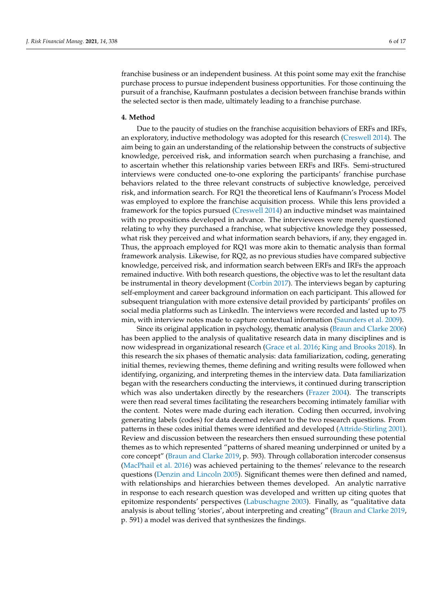franchise business or an independent business. At this point some may exit the franchise purchase process to pursue independent business opportunities. For those continuing the pursuit of a franchise, Kaufmann postulates a decision between franchise brands within the selected sector is then made, ultimately leading to a franchise purchase.

#### <span id="page-6-0"></span>**4. Method**

Due to the paucity of studies on the franchise acquisition behaviors of ERFs and IRFs, an exploratory, inductive methodology was adopted for this research [\(Creswell](#page-14-27) [2014\)](#page-14-27). The aim being to gain an understanding of the relationship between the constructs of subjective knowledge, perceived risk, and information search when purchasing a franchise, and to ascertain whether this relationship varies between ERFs and IRFs. Semi-structured interviews were conducted one-to-one exploring the participants' franchise purchase behaviors related to the three relevant constructs of subjective knowledge, perceived risk, and information search. For RQ1 the theoretical lens of Kaufmann's Process Model was employed to explore the franchise acquisition process. While this lens provided a framework for the topics pursued [\(Creswell](#page-14-27) [2014\)](#page-14-27) an inductive mindset was maintained with no propositions developed in advance. The interviewees were merely questioned relating to why they purchased a franchise, what subjective knowledge they possessed, what risk they perceived and what information search behaviors, if any, they engaged in. Thus, the approach employed for RQ1 was more akin to thematic analysis than formal framework analysis. Likewise, for RQ2, as no previous studies have compared subjective knowledge, perceived risk, and information search between ERFs and IRFs the approach remained inductive. With both research questions, the objective was to let the resultant data be instrumental in theory development [\(Corbin](#page-14-28) [2017\)](#page-14-28). The interviews began by capturing self-employment and career background information on each participant. This allowed for subsequent triangulation with more extensive detail provided by participants' profiles on social media platforms such as LinkedIn. The interviews were recorded and lasted up to 75 min, with interview notes made to capture contextual information [\(Saunders et al.](#page-16-29) [2009\)](#page-16-29).

Since its original application in psychology, thematic analysis [\(Braun and Clarke](#page-14-29) [2006\)](#page-14-29) has been applied to the analysis of qualitative research data in many disciplines and is now widespread in organizational research [\(Grace et al.](#page-15-25) [2016;](#page-15-25) [King and Brooks](#page-15-26) [2018\)](#page-15-26). In this research the six phases of thematic analysis: data familiarization, coding, generating initial themes, reviewing themes, theme defining and writing results were followed when identifying, organizing, and interpreting themes in the interview data. Data familiarization began with the researchers conducting the interviews, it continued during transcription which was also undertaken directly by the researchers [\(Frazer](#page-15-27) [2004\)](#page-15-27). The transcripts were then read several times facilitating the researchers becoming intimately familiar with the content. Notes were made during each iteration. Coding then occurred, involving generating labels (codes) for data deemed relevant to the two research questions. From patterns in these codes initial themes were identified and developed [\(Attride-Stirling](#page-14-30) [2001\)](#page-14-30). Review and discussion between the researchers then ensued surrounding these potential themes as to which represented "patterns of shared meaning underpinned or united by a core concept" [\(Braun and Clarke](#page-14-31) [2019,](#page-14-31) p. 593). Through collaboration intercoder consensus [\(MacPhail et al.](#page-15-28) [2016\)](#page-15-28) was achieved pertaining to the themes' relevance to the research questions [\(Denzin and Lincoln](#page-14-32) [2005\)](#page-14-32). Significant themes were then defined and named, with relationships and hierarchies between themes developed. An analytic narrative in response to each research question was developed and written up citing quotes that epitomize respondents' perspectives [\(Labuschagne](#page-15-29) [2003\)](#page-15-29). Finally, as "qualitative data analysis is about telling 'stories', about interpreting and creating" [\(Braun and Clarke](#page-14-31) [2019,](#page-14-31) p. 591) a model was derived that synthesizes the findings.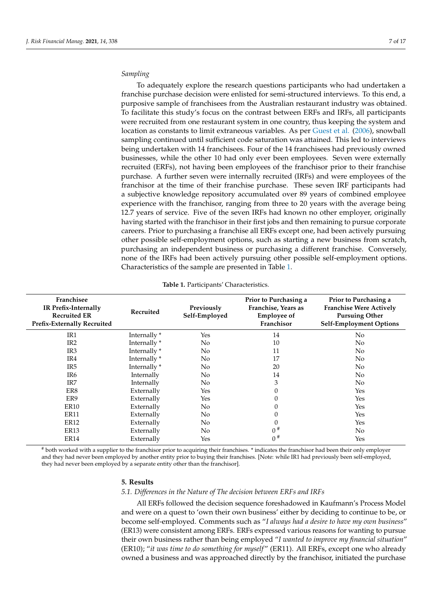#### *Sampling*

To adequately explore the research questions participants who had undertaken a franchise purchase decision were enlisted for semi-structured interviews. To this end, a purposive sample of franchisees from the Australian restaurant industry was obtained. To facilitate this study's focus on the contrast between ERFs and IRFs, all participants were recruited from one restaurant system in one country, thus keeping the system and location as constants to limit extraneous variables. As per [Guest et al.](#page-15-30) [\(2006\)](#page-15-30), snowball sampling continued until sufficient code saturation was attained. This led to interviews being undertaken with 14 franchisees. Four of the 14 franchisees had previously owned businesses, while the other 10 had only ever been employees. Seven were externally recruited (ERFs), not having been employees of the franchisor prior to their franchise purchase. A further seven were internally recruited (IRFs) and were employees of the franchisor at the time of their franchise purchase. These seven IRF participants had a subjective knowledge repository accumulated over 89 years of combined employee experience with the franchisor, ranging from three to 20 years with the average being 12.7 years of service. Five of the seven IRFs had known no other employer, originally having started with the franchisor in their first jobs and then remaining to pursue corporate careers. Prior to purchasing a franchise all ERFs except one, had been actively pursuing other possible self-employment options, such as starting a new business from scratch, purchasing an independent business or purchasing a different franchise. Conversely, none of the IRFs had been actively pursuing other possible self-employment options. Characteristics of the sample are presented in Table [1.](#page-7-1)

<span id="page-7-1"></span>

| Franchisee<br>IR Prefix-Internally<br><b>Recruited ER</b><br><b>Prefix-Externally Recruited</b> | Recruited    | Previously<br>Self-Employed | Prior to Purchasing a<br>Franchise, Years as<br><b>Employee of</b><br>Franchisor | Prior to Purchasing a<br><b>Franchise Were Actively</b><br><b>Pursuing Other</b><br><b>Self-Employment Options</b> |
|-------------------------------------------------------------------------------------------------|--------------|-----------------------------|----------------------------------------------------------------------------------|--------------------------------------------------------------------------------------------------------------------|
| IR <sub>1</sub>                                                                                 | Internally*  | Yes                         | 14                                                                               | No                                                                                                                 |
| IR <sub>2</sub>                                                                                 | Internally * | No                          | 10                                                                               | No                                                                                                                 |
| IR <sub>3</sub>                                                                                 | Internally * | No                          | 11                                                                               | N <sub>o</sub>                                                                                                     |
| IR4                                                                                             | Internally * | No                          | 17                                                                               | N <sub>o</sub>                                                                                                     |
| IR <sub>5</sub>                                                                                 | Internally*  | No                          | 20                                                                               | N <sub>o</sub>                                                                                                     |
| IR6                                                                                             | Internally   | No                          | 14                                                                               | No                                                                                                                 |
| IR7                                                                                             | Internally   | No                          | 3                                                                                | No                                                                                                                 |
| ER8                                                                                             | Externally   | Yes                         | 0                                                                                | Yes                                                                                                                |
| ER9                                                                                             | Externally   | Yes                         | 0                                                                                | Yes                                                                                                                |
| ER <sub>10</sub>                                                                                | Externally   | No                          |                                                                                  | Yes                                                                                                                |
| ER <sub>11</sub>                                                                                | Externally   | No                          |                                                                                  | Yes                                                                                                                |
| ER <sub>12</sub>                                                                                | Externally   | No                          | 0                                                                                | Yes                                                                                                                |
| ER <sub>13</sub>                                                                                | Externally   | No                          | $0^{\#}$                                                                         | No                                                                                                                 |
| ER <sub>14</sub>                                                                                | Externally   | Yes                         | $0^{\#}$                                                                         | Yes                                                                                                                |

|  | Table 1. Participants' Characteristics. |
|--|-----------------------------------------|
|--|-----------------------------------------|

# both worked with a supplier to the franchisor prior to acquiring their franchises. \* indicates the franchisor had been their only employer and they had never been employed by another entity prior to buying their franchises. [Note: while IR1 had previously been self-employed, they had never been employed by a separate entity other than the franchisor].

#### <span id="page-7-0"></span>**5. Results**

#### *5.1. Differences in the Nature of The decision between ERFs and IRFs*

All ERFs followed the decision sequence foreshadowed in Kaufmann's Process Model and were on a quest to 'own their own business' either by deciding to continue to be, or become self-employed. Comments such as "*I always had a desire to have my own business*" (ER13) were consistent among ERFs. ERFs expressed various reasons for wanting to pursue their own business rather than being employed "*I wanted to improve my financial situation*" (ER10); "*it was time to do something for myself* " (ER11). All ERFs, except one who already owned a business and was approached directly by the franchisor, initiated the purchase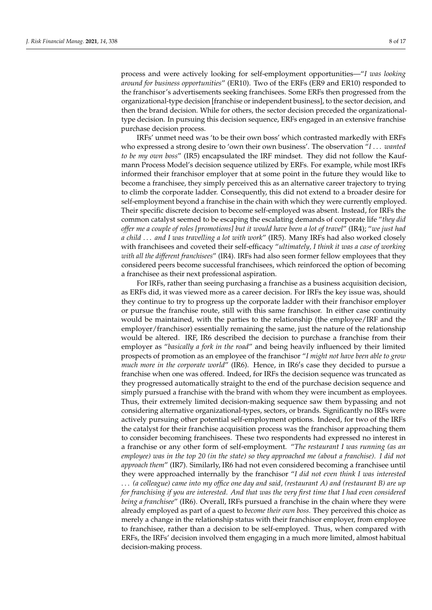process and were actively looking for self-employment opportunities—"*I was looking around for business opportunities*" (ER10). Two of the ERFs (ER9 and ER10) responded to the franchisor's advertisements seeking franchisees. Some ERFs then progressed from the organizational-type decision [franchise or independent business], to the sector decision, and then the brand decision. While for others, the sector decision preceded the organizationaltype decision. In pursuing this decision sequence, ERFs engaged in an extensive franchise purchase decision process.

IRFs' unmet need was 'to be their own boss' which contrasted markedly with ERFs who expressed a strong desire to 'own their own business'. The observation "*I* . . . *wanted to be my own boss*" (IR5) encapsulated the IRF mindset. They did not follow the Kaufmann Process Model's decision sequence utilized by ERFs. For example, while most IRFs informed their franchisor employer that at some point in the future they would like to become a franchisee, they simply perceived this as an alternative career trajectory to trying to climb the corporate ladder. Consequently, this did not extend to a broader desire for self-employment beyond a franchise in the chain with which they were currently employed. Their specific discrete decision to become self-employed was absent. Instead, for IRFs the common catalyst seemed to be escaping the escalating demands of corporate life "*they did offer me a couple of roles [promotions] but it would have been a lot of travel*" (IR4); "*we just had a child* . . . *and I was travelling a lot with work*" (IR5). Many IRFs had also worked closely with franchisees and coveted their self-efficacy "*ultimately, I think it was a case of working with all the different franchisees*" (IR4). IRFs had also seen former fellow employees that they considered peers become successful franchisees, which reinforced the option of becoming a franchisee as their next professional aspiration.

For IRFs, rather than seeing purchasing a franchise as a business acquisition decision, as ERFs did, it was viewed more as a career decision. For IRFs the key issue was, should they continue to try to progress up the corporate ladder with their franchisor employer or pursue the franchise route, still with this same franchisor. In either case continuity would be maintained, with the parties to the relationship (the employee/IRF and the employer/franchisor) essentially remaining the same, just the nature of the relationship would be altered. IRF, IR6 described the decision to purchase a franchise from their employer as "*basically a fork in the road*" and being heavily influenced by their limited prospects of promotion as an employee of the franchisor "*I might not have been able to grow* much more in the corporate world" (IR6). Hence, in IR6's case they decided to pursue a franchise when one was offered. Indeed, for IRFs the decision sequence was truncated as they progressed automatically straight to the end of the purchase decision sequence and simply pursued a franchise with the brand with whom they were incumbent as employees. Thus, their extremely limited decision-making sequence saw them bypassing and not considering alternative organizational-types, sectors, or brands. Significantly no IRFs were actively pursuing other potential self-employment options. Indeed, for two of the IRFs the catalyst for their franchise acquisition process was the franchisor approaching them to consider becoming franchisees. These two respondents had expressed no interest in a franchise or any other form of self-employment. "*The restaurant I was running (as an employee) was in the top 20 (in the state) so they approached me (about a franchise). I did not approach them*" (IR7). Similarly, IR6 had not even considered becoming a franchisee until they were approached internally by the franchisor "*I did not even think I was interested* . . . *(a colleague) came into my office one day and said, (restaurant A) and (restaurant B) are up for franchising if you are interested. And that was the very first time that I had even considered being a franchisee*" (IR6). Overall, IRFs pursued a franchise in the chain where they were already employed as part of a quest to *become their own boss*. They perceived this choice as merely a change in the relationship status with their franchisor employer, from employee to franchisee, rather than a decision to be self-employed. Thus, when compared with ERFs, the IRFs' decision involved them engaging in a much more limited, almost habitual decision-making process.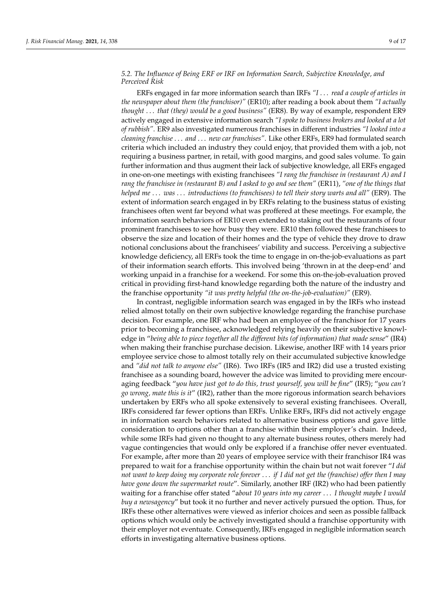## *5.2. The Influence of Being ERF or IRF on Information Search, Subjective Knowledge, and Perceived Risk*

ERFs engaged in far more information search than IRFs *"I* . . . *read a couple of articles in the newspaper about them (the franchisor)"* (ER10); after reading a book about them *"I actually thought* . . . *that (they) would be a good business"* (ER8). By way of example, respondent ER9 actively engaged in extensive information search *"I spoke to business brokers and looked at a lot of rubbish"*. ER9 also investigated numerous franchises in different industries *"I looked into a cleaning franchise* . . . *and* . . . *new car franchises"*. Like other ERFs, ER9 had formulated search criteria which included an industry they could enjoy, that provided them with a job, not requiring a business partner, in retail, with good margins, and good sales volume. To gain further information and thus augment their lack of subjective knowledge, all ERFs engaged in one-on-one meetings with existing franchisees *"I rang the franchisee in (restaurant A) and I rang the franchisee in (restaurant B) and I asked to go and see them"* (ER11), *"one of the things that helped me* . . . *was* . . . *introductions (to franchisees) to tell their story warts and all"* (ER9). The extent of information search engaged in by ERFs relating to the business status of existing franchisees often went far beyond what was proffered at these meetings. For example, the information search behaviors of ER10 even extended to staking out the restaurants of four prominent franchisees to see how busy they were. ER10 then followed these franchisees to observe the size and location of their homes and the type of vehicle they drove to draw notional conclusions about the franchisees' viability and success. Perceiving a subjective knowledge deficiency, all ERFs took the time to engage in on-the-job-evaluations as part of their information search efforts. This involved being 'thrown in at the deep-end' and working unpaid in a franchise for a weekend. For some this on-the-job-evaluation proved critical in providing first-hand knowledge regarding both the nature of the industry and the franchise opportunity *"it was pretty helpful (the on-the-job-evaluation)"* (ER9).

In contrast, negligible information search was engaged in by the IRFs who instead relied almost totally on their own subjective knowledge regarding the franchise purchase decision. For example, one IRF who had been an employee of the franchisor for 17 years prior to becoming a franchisee, acknowledged relying heavily on their subjective knowledge in "*being able to piece together all the different bits (of information) that made sense*" (IR4) when making their franchise purchase decision. Likewise, another IRF with 14 years prior employee service chose to almost totally rely on their accumulated subjective knowledge and *"did not talk to anyone else"* (IR6). Two IRFs (IR5 and IR2) did use a trusted existing franchisee as a sounding board, however the advice was limited to providing mere encouraging feedback "*you have just got to do this, trust yourself, you will be fine*" (IR5); "*you can't go wrong, mate this is it*" (IR2), rather than the more rigorous information search behaviors undertaken by ERFs who all spoke extensively to several existing franchisees. Overall, IRFs considered far fewer options than ERFs. Unlike ERFs, IRFs did not actively engage in information search behaviors related to alternative business options and gave little consideration to options other than a franchise within their employer's chain. Indeed, while some IRFs had given no thought to any alternate business routes, others merely had vague contingencies that would only be explored if a franchise offer never eventuated. For example, after more than 20 years of employee service with their franchisor IR4 was prepared to wait for a franchise opportunity within the chain but not wait forever "*I did not want to keep doing my corporate role forever* . . . *if I did not get the (franchise) offer then I may have gone down the supermarket route*". Similarly, another IRF (IR2) who had been patiently waiting for a franchise offer stated "a*bout 10 years into my career* . . . *I thought maybe I would buy a newsagency*" but took it no further and never actively pursued the option. Thus, for IRFs these other alternatives were viewed as inferior choices and seen as possible fallback options which would only be actively investigated should a franchise opportunity with their employer not eventuate. Consequently, IRFs engaged in negligible information search efforts in investigating alternative business options.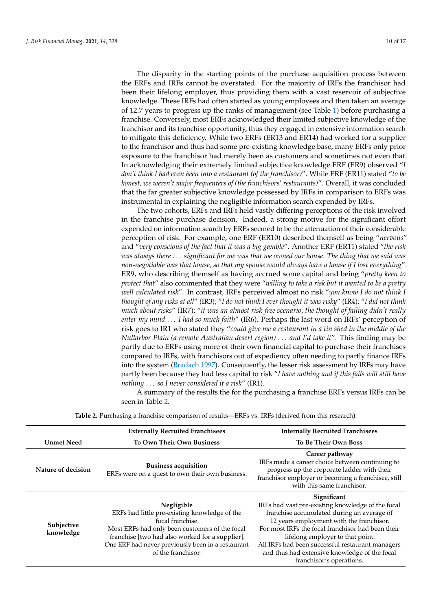The disparity in the starting points of the purchase acquisition process between the ERFs and IRFs cannot be overstated. For the majority of IRFs the franchisor had been their lifelong employer, thus providing them with a vast reservoir of subjective knowledge. These IRFs had often started as young employees and then taken an average of 12.7 years to progress up the ranks of management (see Table [1\)](#page-7-1) before purchasing a franchise. Conversely, most ERFs acknowledged their limited subjective knowledge of the franchisor and its franchise opportunity, thus they engaged in extensive information search to mitigate this deficiency. While two ERFs (ER13 and ER14) had worked for a supplier to the franchisor and thus had some pre-existing knowledge base, many ERFs only prior exposure to the franchisor had merely been as customers and sometimes not even that. In acknowledging their extremely limited subjective knowledge ERF (ER9) observed "*I don't think I had even been into a restaurant (of the franchisor)*". While ERF (ER11) stated "*to be honest, we weren't major frequenters of (the franchisors' restaurants)*". Overall, it was concluded that the far greater subjective knowledge possessed by IRFs in comparison to ERFs was instrumental in explaining the negligible information search expended by IRFs.

The two cohorts, ERFs and IRFs held vastly differing perceptions of the risk involved in the franchise purchase decision. Indeed, a strong motive for the significant effort expended on information search by ERFs seemed to be the attenuation of their considerable perception of risk. For example, one ERF (ER10) described themself as being "*nervous*" and "*very conscious of the fact that it was a big gamble*". Another ERF (ER11) stated "*the risk was always there* . . . *significant for me was that we owned our house. The thing that we said was non-negotiable was that house, so that my spouse would always have a house if I lost everything*". ER9, who describing themself as having accrued some capital and being "*pretty keen to protect that*" also commented that they were "*willing to take a risk but it wanted to be a pretty well calculated risk*". In contrast, IRFs perceived almost no risk "*you know I do not think I thought of any risks at all*" (IR3); "*I do not think I ever thought it was risky*" (IR4); "*I did not think much about risks*" (IR7); "*it was an almost risk-free scenario, the thought of failing didn't really enter my mind* . . . *I had so much faith*" (IR6). Perhaps the last word on IRFs' perception of risk goes to IR1 who stated they "*could give me a restaurant in a tin shed in the middle of the Nullarbor Plain (a remote Australian desert region)* . . . *and I'd take it*". This finding may be partly due to ERFs using more of their own financial capital to purchase their franchises compared to IRFs, with franchisors out of expediency often needing to partly finance IRFs into the system [\(Bradach](#page-14-7) [1997\)](#page-14-7). Consequently, the lesser risk assessment by IRFs may have partly been because they had less capital to risk "*I have nothing and if this fails will still have nothing* . . . *so I never considered it a risk*" (IR1).

A summary of the results the for the purchasing a franchise ERFs versus IRFs can be seen in Table [2.](#page-11-1)

|                         | <b>Externally Recruited Franchisees</b>                                                                                                                                                                                                                         | <b>Internally Recruited Franchisees</b>                                                                                                                                                                                                                                                                                                                                              |
|-------------------------|-----------------------------------------------------------------------------------------------------------------------------------------------------------------------------------------------------------------------------------------------------------------|--------------------------------------------------------------------------------------------------------------------------------------------------------------------------------------------------------------------------------------------------------------------------------------------------------------------------------------------------------------------------------------|
| <b>Unmet Need</b>       | <b>To Own Their Own Business</b>                                                                                                                                                                                                                                | <b>To Be Their Own Boss</b>                                                                                                                                                                                                                                                                                                                                                          |
| Nature of decision      | <b>Business acquisition</b><br>ERFs were on a quest to own their own business.                                                                                                                                                                                  | Career pathway<br>IRFs made a career choice between continuing to<br>progress up the corporate ladder with their<br>franchisor employer or becoming a franchisee, still<br>with this same franchisor.                                                                                                                                                                                |
| Subjective<br>knowledge | Negligible<br>ERFs had little pre-existing knowledge of the<br>focal franchise.<br>Most ERFs had only been customers of the focal<br>franchise [two had also worked for a supplier].<br>One ERF had never previously been in a restaurant<br>of the franchisor. | Significant<br>IRFs had vast pre-existing knowledge of the focal<br>franchise accumulated during an average of<br>12 years employment with the franchisor.<br>For most IRFs the focal franchisor had been their<br>lifelong employer to that point.<br>All IRFs had been successful restaurant managers<br>and thus had extensive knowledge of the focal<br>franchisor's operations. |

**Table 2.** Purchasing a franchise comparison of results—ERFs vs. IRFs (derived from this research).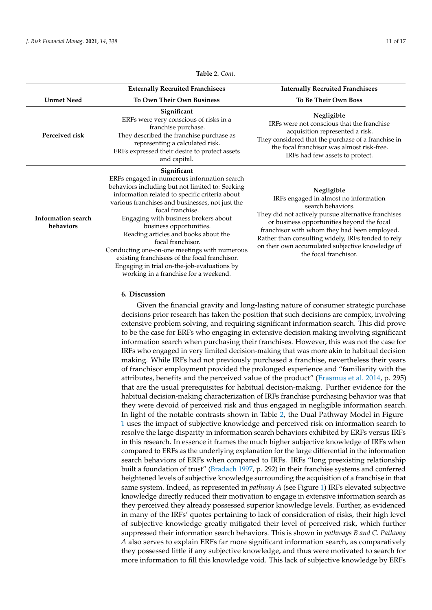<span id="page-11-1"></span>

|                                        | <b>Externally Recruited Franchisees</b>                                                                                                                                                                                                                                                                                                                                                                                                                                                                                                                         | <b>Internally Recruited Franchisees</b>                                                                                                                                                                                                                                                                                                                          |
|----------------------------------------|-----------------------------------------------------------------------------------------------------------------------------------------------------------------------------------------------------------------------------------------------------------------------------------------------------------------------------------------------------------------------------------------------------------------------------------------------------------------------------------------------------------------------------------------------------------------|------------------------------------------------------------------------------------------------------------------------------------------------------------------------------------------------------------------------------------------------------------------------------------------------------------------------------------------------------------------|
| <b>Unmet Need</b>                      | <b>To Own Their Own Business</b>                                                                                                                                                                                                                                                                                                                                                                                                                                                                                                                                | <b>To Be Their Own Boss</b>                                                                                                                                                                                                                                                                                                                                      |
| Perceived risk                         | Significant<br>ERFs were very conscious of risks in a<br>franchise purchase.<br>They described the franchise purchase as<br>representing a calculated risk.<br>ERFs expressed their desire to protect assets<br>and capital.                                                                                                                                                                                                                                                                                                                                    | Negligible<br>IRFs were not conscious that the franchise<br>acquisition represented a risk.<br>They considered that the purchase of a franchise in<br>the focal franchisor was almost risk-free.<br>IRFs had few assets to protect.                                                                                                                              |
| <b>Information search</b><br>behaviors | Significant<br>ERFs engaged in numerous information search<br>behaviors including but not limited to: Seeking<br>information related to specific criteria about<br>various franchises and businesses, not just the<br>focal franchise.<br>Engaging with business brokers about<br>business opportunities.<br>Reading articles and books about the<br>focal franchisor.<br>Conducting one-on-one meetings with numerous<br>existing franchisees of the focal franchisor.<br>Engaging in trial on-the-job-evaluations by<br>working in a franchise for a weekend. | Negligible<br>IRFs engaged in almost no information<br>search behaviors.<br>They did not actively pursue alternative franchises<br>or business opportunities beyond the focal<br>franchisor with whom they had been employed.<br>Rather than consulting widely, IRFs tended to rely<br>on their own accumulated subjective knowledge of<br>the focal franchisor. |

**Table 2.** *Cont*.

#### <span id="page-11-0"></span>**6. Discussion**

Given the financial gravity and long-lasting nature of consumer strategic purchase decisions prior research has taken the position that such decisions are complex, involving extensive problem solving, and requiring significant information search. This did prove to be the case for ERFs who engaging in extensive decision making involving significant information search when purchasing their franchises. However, this was not the case for IRFs who engaged in very limited decision-making that was more akin to habitual decision making. While IRFs had not previously purchased a franchise, nevertheless their years of franchisor employment provided the prolonged experience and "familiarity with the attributes, benefits and the perceived value of the product" [\(Erasmus et al.](#page-14-18) [2014,](#page-14-18) p. 295) that are the usual prerequisites for habitual decision-making. Further evidence for the habitual decision-making characterization of IRFs franchise purchasing behavior was that they were devoid of perceived risk and thus engaged in negligible information search. In light of the notable contrasts shown in Table [2,](#page-11-1) the Dual Pathway Model in Figure [1](#page-12-0) uses the impact of subjective knowledge and perceived risk on information search to resolve the large disparity in information search behaviors exhibited by ERFs versus IRFs in this research. In essence it frames the much higher subjective knowledge of IRFs when compared to ERFs as the underlying explanation for the large differential in the information search behaviors of ERFs when compared to IRFs. IRFs "long preexisting relationship built a foundation of trust" [\(Bradach](#page-14-7) [1997,](#page-14-7) p. 292) in their franchise systems and conferred heightened levels of subjective knowledge surrounding the acquisition of a franchise in that same system. Indeed, as represented in *pathway A* (see Figure [1\)](#page-12-0) IRFs elevated subjective knowledge directly reduced their motivation to engage in extensive information search as they perceived they already possessed superior knowledge levels. Further, as evidenced in many of the IRFs' quotes pertaining to lack of consideration of risks, their high level of subjective knowledge greatly mitigated their level of perceived risk, which further suppressed their information search behaviors. This is shown in *pathways B and C*. *Pathway A* also serves to explain ERFs far more significant information search, as comparatively they possessed little if any subjective knowledge, and thus were motivated to search for more information to fill this knowledge void. This lack of subjective knowledge by ERFs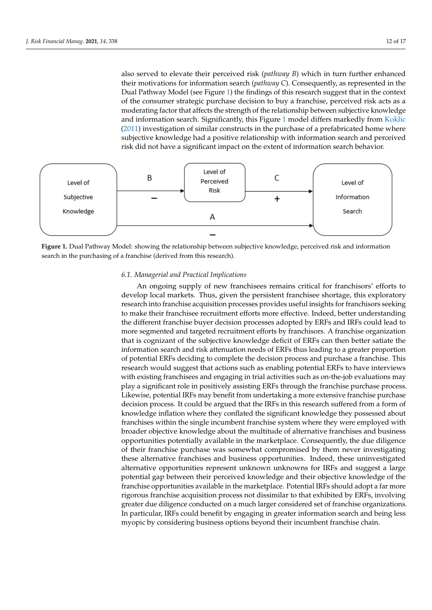also served to elevate their perceived risk (pathway B) which in turn further enhanced their motivations for information search (*pathway C*). Consequently, as represented in the Dual Pathway Model (see Figure 1) the findings of this research suggest that in the context of the consumer strategic purchase decision to buy a franchise, perceived risk acts as a moderating factor that affects the strength of the relationship between subjective knowledge and [inform](#page-15-20)ation search. Significantly, this Figure 1 model differs markedly from Koklic  $(2011)$  investigation of similar constructs in the purchase of a prefabricated home where subjective knowledge had a positive relationship with information search and perceived risk did not have a significant impact on the extent of information search behavior.

<span id="page-12-0"></span>

search in the purchasing of a franchise (derived from this research). **Figure 1.** Dual Pathway Model: showing the relationship between subjective knowledge, perceived risk and information

#### *6.1. Managerial and Practical Implications*

An ongoing supply of new franchisees remains critical for franchisors' efforts to develop local markets. Thus, given the persistent franchisee shortage, this exploratory<br>' to make their franchise acquisition processes provides useful insights for franchisors seeking<br>to make their franchisee recruitment efforts more effective. Indeed, better understanding the different franchise buyer decision processes adopted by ERFs and IRFs could lead to more segmented and targeted recruitment efforts by franchisors. A franchise organization that is cognizant of the subjective knowledge deficit of ERFs can then better satiate the information search and risk attenuation needs of ERFs thus leading to a greater proportion of potential ERFs deciding to complete the decision process and purchase a franchise. This research would suggest that actions such as enabling potential ERFs to have interviews with existing franchisees and engaging in trial activities such as on-the-job evaluations may research into franchise acquisition processes provides useful insights for franchisors seeking play a significant role in positively assisting ERFs through the franchise purchase process. Likewise, potential IRFs may benefit from undertaking a more extensive franchise purchase decision process. It could be argued that the IRFs in this research suffered from a form of knowledge inflation where they conflated the significant knowledge they possessed about franchises within the single incumbent franchise system where they were employed with broader objective knowledge about the multitude of alternative franchises and business opportunities potentially available in the marketplace. Consequently, the due diligence of their franchise purchase was somewhat compromised by them never investigating these alternative franchises and business opportunities. Indeed, these uninvestigated alternative opportunities represent unknown unknowns for IRFs and suggest a large potential gap between their perceived knowledge and their objective knowledge of the franchise opportunities available in the marketplace. Potential IRFs should adopt a far more rigorous franchise acquisition process not dissimilar to that exhibited by ERFs, involving greater due diligence conducted on a much larger considered set of franchise organizations. In particular, IRFs could benefit by engaging in greater information search and being less myopic by considering business options beyond their incumbent franchise chain.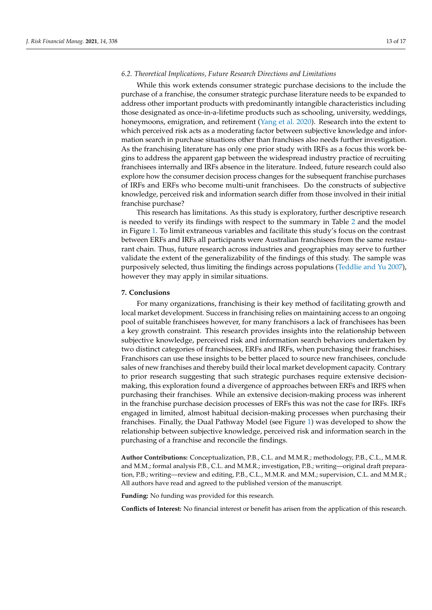#### *6.2. Theoretical Implications, Future Research Directions and Limitations*

While this work extends consumer strategic purchase decisions to the include the purchase of a franchise, the consumer strategic purchase literature needs to be expanded to address other important products with predominantly intangible characteristics including those designated as once-in-a-lifetime products such as schooling, university, weddings, honeymoons, emigration, and retirement [\(Yang et al.](#page-17-3) [2020\)](#page-17-3). Research into the extent to which perceived risk acts as a moderating factor between subjective knowledge and information search in purchase situations other than franchises also needs further investigation. As the franchising literature has only one prior study with IRFs as a focus this work begins to address the apparent gap between the widespread industry practice of recruiting franchisees internally and IRFs absence in the literature. Indeed, future research could also explore how the consumer decision process changes for the subsequent franchise purchases of IRFs and ERFs who become multi-unit franchisees. Do the constructs of subjective knowledge, perceived risk and information search differ from those involved in their initial franchise purchase?

This research has limitations. As this study is exploratory, further descriptive research is needed to verify its findings with respect to the summary in Table [2](#page-11-1) and the model in Figure [1.](#page-12-0) To limit extraneous variables and facilitate this study's focus on the contrast between ERFs and IRFs all participants were Australian franchisees from the same restaurant chain. Thus, future research across industries and geographies may serve to further validate the extent of the generalizability of the findings of this study. The sample was purposively selected, thus limiting the findings across populations [\(Teddlie and Yu](#page-16-30) [2007\)](#page-16-30), however they may apply in similar situations.

#### <span id="page-13-0"></span>**7. Conclusions**

For many organizations, franchising is their key method of facilitating growth and local market development. Success in franchising relies on maintaining access to an ongoing pool of suitable franchisees however, for many franchisors a lack of franchisees has been a key growth constraint. This research provides insights into the relationship between subjective knowledge, perceived risk and information search behaviors undertaken by two distinct categories of franchisees, ERFs and IRFs, when purchasing their franchises. Franchisors can use these insights to be better placed to source new franchisees, conclude sales of new franchises and thereby build their local market development capacity. Contrary to prior research suggesting that such strategic purchases require extensive decisionmaking, this exploration found a divergence of approaches between ERFs and IRFS when purchasing their franchises. While an extensive decision-making process was inherent in the franchise purchase decision processes of ERFs this was not the case for IRFs. IRFs engaged in limited, almost habitual decision-making processes when purchasing their franchises. Finally, the Dual Pathway Model (see Figure [1\)](#page-12-0) was developed to show the relationship between subjective knowledge, perceived risk and information search in the purchasing of a franchise and reconcile the findings.

**Author Contributions:** Conceptualization, P.B., C.L. and M.M.R.; methodology, P.B., C.L., M.M.R. and M.M.; formal analysis P.B., C.L. and M.M.R.; investigation, P.B.; writing—original draft preparation, P.B.; writing—review and editing, P.B., C.L., M.M.R. and M.M.; supervision, C.L. and M.M.R.; All authors have read and agreed to the published version of the manuscript.

**Funding:** No funding was provided for this research.

**Conflicts of Interest:** No financial interest or benefit has arisen from the application of this research.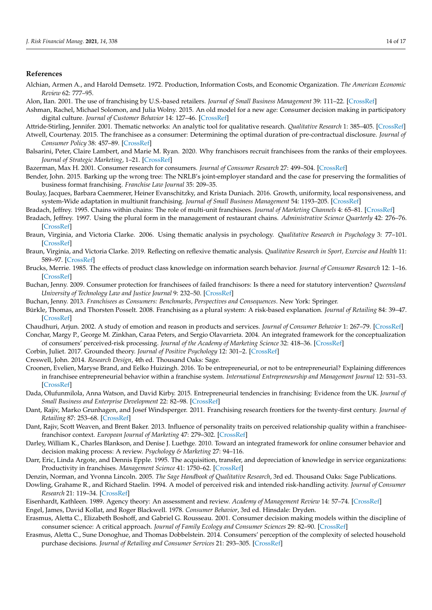#### **References**

- <span id="page-14-10"></span>Alchian, Armen A., and Harold Demsetz. 1972. Production, Information Costs, and Economic Organization. *The American Economic Review* 62: 777–95.
- <span id="page-14-11"></span>Alon, Ilan. 2001. The use of franchising by U.S.-based retailers. *Journal of Small Business Management* 39: 111–22. [\[CrossRef\]](http://doi.org/10.1111/1540-627X.00011)
- <span id="page-14-23"></span>Ashman, Rachel, Michael Solomon, and Julia Wolny. 2015. An old model for a new age: Consumer decision making in participatory digital culture. *Journal of Customer Behavior* 14: 127–46. [\[CrossRef\]](http://doi.org/10.1362/147539215X14373846805743)
- <span id="page-14-30"></span>Attride-Stirling, Jennifer. 2001. Thematic networks: An analytic tool for qualitative research. *Qualitative Research* 1: 385–405. [\[CrossRef\]](http://doi.org/10.1177/146879410100100307)
- <span id="page-14-13"></span>Atwell, Courtenay. 2015. The franchisee as a consumer: Determining the optimal duration of pre-contractual disclosure. *Journal of Consumer Policy* 38: 457–89. [\[CrossRef\]](http://doi.org/10.1007/s10603-015-9297-1)
- <span id="page-14-8"></span>Balsarini, Peter, Claire Lambert, and Marie M. Ryan. 2020. Why franchisors recruit franchisees from the ranks of their employees. *Journal of Strategic Marketing*, 1–21. [\[CrossRef\]](http://doi.org/10.1080/0965254X.2020.1733053)
- <span id="page-14-16"></span>Bazerman, Max H. 2001. Consumer research for consumers. *Journal of Consumer Research* 27: 499–504. [\[CrossRef\]](http://doi.org/10.1086/319624)
- <span id="page-14-17"></span>Bender, John. 2015. Barking up the wrong tree: The NRLB's joint-employer standard and the case for preserving the formalities of business format franchising. *Franchise Law Journal* 35: 209–35.
- <span id="page-14-2"></span>Boulay, Jacques, Barbara Caemmerer, Heiner Evanschitzky, and Krista Duniach. 2016. Growth, uniformity, local responsiveness, and system-Wide adaptation in multiunit franchising. *Journal of Small Business Management* 54: 1193–205. [\[CrossRef\]](http://doi.org/10.1111/jsbm.12239)
- <span id="page-14-1"></span>Bradach, Jeffrey. 1995. Chains within chains: The role of multi-unit franchisees. *Journal of Marketing Channels* 4: 65–81. [\[CrossRef\]](http://doi.org/10.1300/J049v04n01_05)
- <span id="page-14-7"></span>Bradach, Jeffrey. 1997. Using the plural form in the management of restaurant chains. *Administrative Science Quarterly* 42: 276–76. [\[CrossRef\]](http://doi.org/10.2307/2393921)
- <span id="page-14-29"></span>Braun, Virginia, and Victoria Clarke. 2006. Using thematic analysis in psychology. *Qualitative Research in Psychology* 3: 77–101. [\[CrossRef\]](http://doi.org/10.1191/1478088706qp063oa)
- <span id="page-14-31"></span>Braun, Virginia, and Victoria Clarke. 2019. Reflecting on reflexive thematic analysis. *Qualitative Research in Sport, Exercise and Health* 11: 589–97. [\[CrossRef\]](http://doi.org/10.1080/2159676X.2019.1628806)
- <span id="page-14-19"></span>Brucks, Merrie. 1985. The effects of product class knowledge on information search behavior. *Journal of Consumer Research* 12: 1–16. [\[CrossRef\]](http://doi.org/10.1086/209031)
- <span id="page-14-14"></span>Buchan, Jenny. 2009. Consumer protection for franchisees of failed franchisors: Is there a need for statutory intervention? *Queensland University of Technology Law and Justice Journal* 9: 232–50. [\[CrossRef\]](http://doi.org/10.5204/qutlr.v9i2.30)
- <span id="page-14-15"></span>Buchan, Jenny. 2013. *Franchisees as Consumers: Benchmarks, Perspectives and Consequences*. New York: Springer.
- <span id="page-14-4"></span>Bürkle, Thomas, and Thorsten Posselt. 2008. Franchising as a plural system: A risk-based explanation. *Journal of Retailing* 84: 39–47. [\[CrossRef\]](http://doi.org/10.1016/j.jretai.2008.01.004)
- <span id="page-14-21"></span><span id="page-14-20"></span>Chaudhuri, Arjun. 2002. A study of emotion and reason in products and services. *Journal of Consumer Behavior* 1: 267–79. [\[CrossRef\]](http://doi.org/10.1002/cb.72) Conchar, Margy P., George M. Zinkhan, Caraa Peters, and Sergio Olavarrieta. 2004. An integrated framework for the conceptualization
- of consumers' perceived-risk processing. *Journal of the Academy of Marketing Science* 32: 418–36. [\[CrossRef\]](http://doi.org/10.1177/0092070304267551)
- <span id="page-14-28"></span>Corbin, Juliet. 2017. Grounded theory. *Journal of Positive Psychology* 12: 301–2. [\[CrossRef\]](http://doi.org/10.1080/17439760.2016.1262614)
- <span id="page-14-27"></span>Creswell, John. 2014. *Research Design*, 4th ed. Thousand Oaks: Sage.
- <span id="page-14-3"></span>Croonen, Evelien, Maryse Brand, and Eelko Huizingh. 2016. To be entrepreneurial, or not to be entrepreneurial? Explaining differences in franchisee entrepreneurial behavior within a franchise system. *International Entrepreneurship and Management Journal* 12: 531–53. [\[CrossRef\]](http://doi.org/10.1007/s11365-014-0352-1)
- <span id="page-14-6"></span>Dada, Olufunmilola, Anna Watson, and David Kirby. 2015. Entrepreneurial tendencies in franchising: Evidence from the UK. *Journal of Small Business and Enterprise Development* 22: 82–98. [\[CrossRef\]](http://doi.org/10.1108/JSBED-11-2011-0021)
- <span id="page-14-0"></span>Dant, Rajiv, Marko Grunhagen, and Josef Windsperger. 2011. Franchising research frontiers for the twenty-first century. *Journal of Retailing* 87: 253–68. [\[CrossRef\]](http://doi.org/10.1016/j.jretai.2011.08.002)
- <span id="page-14-9"></span>Dant, Rajiv, Scott Weaven, and Brent Baker. 2013. Influence of personality traits on perceived relationship quality within a franchiseefranchisor context. *European Journal of Marketing* 47: 279–302. [\[CrossRef\]](http://doi.org/10.1108/03090561311285556)
- <span id="page-14-24"></span>Darley, William K., Charles Blankson, and Denise J. Luethge. 2010. Toward an integrated framework for online consumer behavior and decision making process: A review. *Psychology & Marketing* 27: 94–116.
- <span id="page-14-5"></span>Darr, Eric, Linda Argote, and Dennis Epple. 1995. The acquisition, transfer, and depreciation of knowledge in service organizations: Productivity in franchises. *Management Science* 41: 1750–62. [\[CrossRef\]](http://doi.org/10.1287/mnsc.41.11.1750)
- <span id="page-14-32"></span>Denzin, Norman, and Yvonna Lincoln. 2005. *The Sage Handbook of Qualitative Research*, 3rd ed. Thousand Oaks: Sage Publications.
- <span id="page-14-22"></span>Dowling, Grahame R., and Richard Staelin. 1994. A model of perceived risk and intended risk-handling activity. *Journal of Consumer Research* 21: 119–34. [\[CrossRef\]](http://doi.org/10.1086/209386)
- <span id="page-14-26"></span><span id="page-14-12"></span>Eisenhardt, Kathleen. 1989. Agency theory: An assessment and review. *Academy of Management Review* 14: 57–74. [\[CrossRef\]](http://doi.org/10.5465/amr.1989.4279003) Engel, James, David Kollat, and Roger Blackwell. 1978. *Consumer Behavior*, 3rd ed. Hinsdale: Dryden.
- <span id="page-14-25"></span>Erasmus, Aletta C., Elizabeth Boshoff, and Gabriel G. Rousseau. 2001. Consumer decision making models within the discipline of consumer science: A critical approach. *Journal of Family Ecology and Consumer Sciences* 29: 82–90. [\[CrossRef\]](http://doi.org/10.4314/jfecs.v29i1.52799)
- <span id="page-14-18"></span>Erasmus, Aletta C., Sune Donoghue, and Thomas Dobbelstein. 2014. Consumers' perception of the complexity of selected household purchase decisions. *Journal of Retailing and Consumer Services* 21: 293–305. [\[CrossRef\]](http://doi.org/10.1016/j.jretconser.2014.02.008)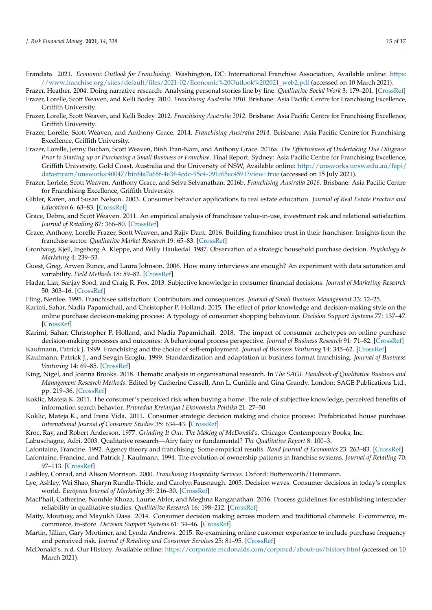<span id="page-15-0"></span>Frandata. 2021. *Economic Outlook for Franchising*. Washington, DC: International Franchise Association, Available online: [https:](https://www.franchise.org/sites/default/files/2021-02/Economic%20Outlook%202021_web2.pdf) [//www.franchise.org/sites/default/files/2021-02/Economic%20Outlook%202021\\_web2.pdf](https://www.franchise.org/sites/default/files/2021-02/Economic%20Outlook%202021_web2.pdf) (accessed on 10 March 2021).

<span id="page-15-27"></span>Frazer, Heather. 2004. Doing narrative research: Analysing personal stories line by line. *Qualitative Social Work* 3: 179–201. [\[CrossRef\]](http://doi.org/10.1177/1473325004043383)

- <span id="page-15-16"></span>Frazer, Lorelle, Scott Weaven, and Kelli Bodey. 2010. *Franchising Australia 2010*. Brisbane: Asia Pacific Centre for Franchising Excellence, Griffith University.
- <span id="page-15-4"></span>Frazer, Lorelle, Scott Weaven, and Kelli Bodey. 2012. *Franchising Australia 2012*. Brisbane: Asia Pacific Centre for Franchising Excellence, Griffith University.
- <span id="page-15-5"></span>Frazer, Lorelle, Scott Weaven, and Anthony Grace. 2014. *Franchising Australia 2014*. Brisbane: Asia Pacific Centre for Franchising Excellence, Griffith University.
- <span id="page-15-11"></span>Frazer, Lorelle, Jenny Buchan, Scott Weaven, Binh Tran-Nam, and Anthony Grace. 2016a. *The Effectiveness of Undertaking Due Diligence Prior to Starting up or Purchasing a Small Business or Franchise*. Final Report. Sydney: Asia Pacific Centre for Franchising Excellence, Griffith University, Gold Coast, Australia and the University of NSW, Available online: [http://unsworks.unsw.edu.au/fapi/](http://unsworks.unsw.edu.au/fapi/datastream/unsworks:40047/binf4a7a68f-4e3f-4cdc-95c4-091c65ec4591?view=true) [datastream/unsworks:40047/binf4a7a68f-4e3f-4cdc-95c4-091c65ec4591?view=true](http://unsworks.unsw.edu.au/fapi/datastream/unsworks:40047/binf4a7a68f-4e3f-4cdc-95c4-091c65ec4591?view=true) (accessed on 15 July 2021).
- <span id="page-15-15"></span>Frazer, Lorlele, Scott Weaven, Anthony Grace, and Selva Selvanathan. 2016b. *Franchising Australia 2016*. Brisbane: Asia Pacific Centre for Franchising Excellence, Griffith University.
- <span id="page-15-18"></span>Gibler, Karen, and Susan Nelson. 2003. Consumer behavior applications to real estate education. *Journal of Real Estate Practice and Education* 6: 63–83. [\[CrossRef\]](http://doi.org/10.1080/10835547.2003.12091585)
- <span id="page-15-7"></span>Grace, Debra, and Scott Weaven. 2011. An empirical analysis of franchisee value-in-use, investment risk and relational satisfaction. *Journal of Retailing* 87: 366–80. [\[CrossRef\]](http://doi.org/10.1016/j.jretai.2010.06.001)
- <span id="page-15-25"></span>Grace, Anthony, Lorelle Frazer, Scott Weaven, and Rajiv Dant. 2016. Building franchisee trust in their franchisor: Insights from the franchise sector. *Qualitative Market Research* 19: 65–83. [\[CrossRef\]](http://doi.org/10.1108/QMR-09-2014-0085)
- <span id="page-15-13"></span>Gronhaug, Kjell, Ingeborg A. Kleppe, and Willy Haukedal. 1987. Observation of a strategic household purchase decision. *Psychology & Marketing* 4: 239–53.
- <span id="page-15-30"></span>Guest, Greg, Arwen Bunce, and Laura Johnson. 2006. How many interviews are enough? An experiment with data saturation and variability. *Field Methods* 18: 59–82. [\[CrossRef\]](http://doi.org/10.1177/1525822X05279903)
- <span id="page-15-19"></span>Hadar, Liat, Sanjay Sood, and Craig R. Fox. 2013. Subjective knowledge in consumer financial decisions. *Journal of Marketing Research* 50: 303–16. [\[CrossRef\]](http://doi.org/10.1509/jmr.10.0518)
- <span id="page-15-24"></span>Hing, Nerilee. 1995. Franchisee satisfaction: Contributors and consequences. *Journal of Small Business Management* 33: 12–25.
- <span id="page-15-22"></span>Karimi, Sahar, Nadia Papamichail, and Christopher P. Holland. 2015. The effect of prior knowledge and decision-making style on the online purchase decision-making process: A typology of consumer shopping behaviour. *Decision Support Systems* 77: 137–47. [\[CrossRef\]](http://doi.org/10.1016/j.dss.2015.06.004)
- <span id="page-15-23"></span>Karimi, Sahar, Christopher P. Holland, and Nadia Papamichail. 2018. The impact of consumer archetypes on online purchase decision-making processes and outcomes: A behavioural process perspective. *Journal of Business Research* 91: 71–82. [\[CrossRef\]](http://doi.org/10.1016/j.jbusres.2018.05.038)
- <span id="page-15-8"></span>Kaufmann, Patrick J. 1999. Franchising and the choice of self-employment. *Journal of Business Venturing* 14: 345–62. [\[CrossRef\]](http://doi.org/10.1016/S0883-9026(98)00021-4)
- <span id="page-15-1"></span>Kaufmann, Patrick J., and Sevgin Eroglu. 1999. Standardization and adaptation in business format franchising. *Journal of Business Venturing* 14: 69–85. [\[CrossRef\]](http://doi.org/10.1016/S0883-9026(97)00097-9)
- <span id="page-15-26"></span>King, Nigel, and Joanna Brooks. 2018. Thematic analysis in organisational research. In *The SAGE Handbook of Qualitative Business and Management Research Methods*. Edited by Catherine Cassell, Ann L. Cunliffe and Gina Grandy. London: SAGE Publications Ltd., pp. 219–36. [\[CrossRef\]](http://doi.org/10.4135/9781526430236)
- <span id="page-15-20"></span>Koklic, Mateja K. 2011. The consumer's perceived risk when buying a home: The role of subjective knowledge, perceived benefits of information search behavior. *Privredna Kretanjua I Ekonomska Politika* 21: 27–50.
- <span id="page-15-14"></span>Koklic, Mateja K., and Irena Vida. 2011. Consumer strategic decision making and choice process: Prefabricated house purchase. *International Journal of Consumer Studies* 35: 634–43. [\[CrossRef\]](http://doi.org/10.1111/j.1470-6431.2010.00953.x)
- <span id="page-15-29"></span><span id="page-15-2"></span>Kroc, Ray, and Robert Anderson. 1977. *Grinding It Out: The Making of McDonald's*. Chicago: Contemporary Books, Inc.
- Labuschagne, Adri. 2003. Qualitative research—Airy fairy or fundamental? *The Qualitative Report* 8: 100–3.
- <span id="page-15-9"></span>Lafontaine, Francine. 1992. Agency theory and franchising: Some empirical results. *Rand Journal of Economics* 23: 263–83. [\[CrossRef\]](http://doi.org/10.2307/2555988)
- <span id="page-15-10"></span>Lafontaine, Francine, and Patrick J. Kaufmann. 1994. The evolution of ownership patterns in franchise systems. *Journal of Retailing* 70: 97–113. [\[CrossRef\]](http://doi.org/10.1016/0022-4359(94)90010-8)
- <span id="page-15-6"></span>Lashley, Conrad, and Alison Morrison. 2000. *Franchising Hospitality Services*. Oxford: Butterworth/Heinmann.
- <span id="page-15-21"></span>Lye, Ashley, Wei Shao, Sharyn Rundle-Thiele, and Carolyn Fausnaugh. 2005. Decision waves: Consumer decisions in today's complex world. *European Journal of Marketing* 39: 216–30. [\[CrossRef\]](http://doi.org/10.1108/03090560510572098)
- <span id="page-15-28"></span>MacPhail, Catherine, Nomhle Khoza, Laurie Abler, and Meghna Ranganathan. 2016. Process guidelines for establishing intercoder reliability in qualitative studies. *Qualitative Research* 16: 198–212. [\[CrossRef\]](http://doi.org/10.1177/1468794115577012)
- <span id="page-15-17"></span>Maity, Moutusy, and Mayukh Dass. 2014. Consumer decision making across modern and traditional channels: E-commerce, mcommerce, in-store. *Decision Support Systems* 61: 34–46. [\[CrossRef\]](http://doi.org/10.1016/j.dss.2014.01.008)
- <span id="page-15-12"></span>Martin, Jillian, Gary Mortimer, and Lynda Andrews. 2015. Re-examining online customer experience to include purchase frequency and perceived risk. *Journal of Retailing and Consumer Services* 25: 81–95. [\[CrossRef\]](http://doi.org/10.1016/j.jretconser.2015.03.008)
- <span id="page-15-3"></span>McDonald's. n.d. Our History. Available online: <https://corporate.mcdonalds.com/corpmcd/about-us/history.html> (accessed on 10 March 2021).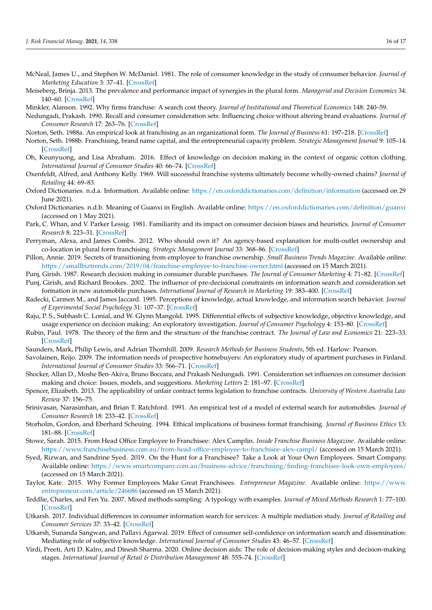- <span id="page-16-19"></span>McNeal, James U., and Stephen W. McDaniel. 1981. The role of consumer knowledge in the study of consumer behavior. *Journal of Marketing Education* 3: 37–41. [\[CrossRef\]](http://doi.org/10.1177/027347538100300111)
- <span id="page-16-5"></span>Meiseberg, Brinja. 2013. The prevalence and performance impact of synergies in the plural form. *Managerial and Decision Economics* 34: 140–60. [\[CrossRef\]](http://doi.org/10.1002/mde.2579)
- <span id="page-16-3"></span>Minkler, Alanson. 1992. Why firms franchise: A search cost theory. *Journal of Institutional and Theoretical Economics* 148: 240–59.
- <span id="page-16-27"></span>Nedungadi, Prakash. 1990. Recall and consumer consideration sets: Influencing choice without altering brand evaluations. *Journal of Consumer Research* 17: 263–76. [\[CrossRef\]](http://doi.org/10.1086/208556)
- <span id="page-16-6"></span>Norton, Seth. 1988a. An empirical look at franchising as an organizational form. *The Journal of Business* 61: 197–218. [\[CrossRef\]](http://doi.org/10.1086/296428)
- <span id="page-16-2"></span>Norton, Seth. 1988b. Franchising, brand name capital, and the entrepreneurial capacity problem. *Strategic Management Journal* 9: 105–14. [\[CrossRef\]](http://doi.org/10.1002/smj.4250090711)
- <span id="page-16-21"></span>Oh, Keunyuong, and Lisa Abraham. 2016. Effect of knowledge on decision making in the context of organic cotton clothing. *International Journal of Consumer Studies* 40: 66–74. [\[CrossRef\]](http://doi.org/10.1111/ijcs.12214)
- <span id="page-16-1"></span>Oxenfeldt, Alfred, and Anthony Kelly. 1969. Will successful franchise systems ultimately become wholly-owned chains? *Journal of Retailing* 44: 69–83.
- <span id="page-16-15"></span>Oxford Dictionaries. n.d.a. Information. Available online: <https://en.oxforddictionaries.com/definition/information> (accessed on 29 June 2021).
- <span id="page-16-26"></span>Oxford Dictionaries. n.d.b. Meaning of Guanxi in English. Available online: <https://en.oxforddictionaries.com/definition/guanxi> (accessed on 1 May 2021).
- <span id="page-16-22"></span>Park, C. Whan, and V. Parker Lessig. 1981. Familiarity and its impact on consumer decision biases and heuristics. *Journal of Consumer Research* 8: 223–31. [\[CrossRef\]](http://doi.org/10.1086/208859)
- <span id="page-16-7"></span>Perryman, Alexa, and James Combs. 2012. Who should own it? An agency-based explanation for multi-outlet ownership and co-location in plural form franchising. *Strategic Management Journal* 33: 368–86. [\[CrossRef\]](http://doi.org/10.1002/smj.1947)
- <span id="page-16-9"></span>Pillon, Annie. 2019. Secrets of transitioning from employee to franchise ownership. *Small Business Trends Magazine*. Available online: <https://smallbiztrends.com/2019/04/franchise-employee-to-franchise-owner.html> (accessed on 15 March 2021).
- <span id="page-16-18"></span>Punj, Girish. 1987. Research decision making in consumer durable purchases. *The Journal of Consumer Marketing* 4: 71–82. [\[CrossRef\]](http://doi.org/10.1108/eb008191)
- <span id="page-16-13"></span>Punj, Girish, and Richard Brookes. 2002. The influence of pre-decisional constraints on information search and consideration set formation in new automobile purchases. *International Journal of Research in Marketing* 19: 383–400. [\[CrossRef\]](http://doi.org/10.1016/S0167-8116(02)00100-3)
- <span id="page-16-24"></span>Radecki, Carmen M., and James Jaccard. 1995. Perceptions of knowledge, actual knowledge, and information search behavior. *Journal of Experimental Social Psychology* 31: 107–37. [\[CrossRef\]](http://doi.org/10.1006/jesp.1995.1006)
- <span id="page-16-20"></span>Raju, P. S., Subhash C. Lonial, and W. Glynn Mangold. 1995. Differential effects of subjective knowledge, objective knowledge, and usage experience on decision making: An exploratory investigation. *Journal of Consumer Psychology* 4: 153–80. [\[CrossRef\]](http://doi.org/10.1207/s15327663jcp0402_04)
- <span id="page-16-4"></span>Rubin, Paul. 1978. The theory of the firm and the structure of the franchise contract. *The Journal of Law and Economics* 21: 223–33. [\[CrossRef\]](http://doi.org/10.1086/466918)
- <span id="page-16-29"></span>Saunders, Mark, Philip Lewis, and Adrian Thornhill. 2009. *Research Methods for Business Students*, 5th ed. Harlow: Pearson.
- <span id="page-16-14"></span>Savolainen, Reijo. 2009. The information needs of prospective homebuyers: An exploratory study of apartment purchases in Finland. *International Journal of Consumer Studies* 33: 566–71. [\[CrossRef\]](http://doi.org/10.1111/j.1470-6431.2009.00804.x)
- <span id="page-16-28"></span>Shocker, Allan D., Moshe Ben-Akiva, Bruno Boccara, and Prakash Nedungadi. 1991. Consideration set influences on consumer decision making and choice: Issues, models, and suggestions. *Marketing Letters* 2: 181–97. [\[CrossRef\]](http://doi.org/10.1007/BF02404071)
- <span id="page-16-8"></span>Spencer, Elizabeth. 2013. The applicability of unfair contract terms legislation to franchise contracts. *University of Western Australia Law Review* 37: 156–75.
- <span id="page-16-16"></span>Srinivasan, Narasimhan, and Brian T. Ratchford. 1991. An empirical test of a model of external search for automobiles. *Journal of Consumer Research* 18: 233–42. [\[CrossRef\]](http://doi.org/10.1086/209255)
- <span id="page-16-0"></span>Storholm, Gordon, and Eberhard Scheuing. 1994. Ethical implications of business format franchising. *Journal of Business Ethics* 13: 181–88. [\[CrossRef\]](http://doi.org/10.1007/BF02074817)
- <span id="page-16-10"></span>Stowe, Sarah. 2015. From Head Office Employee to Franchisee: Alex Camplin. *Inside Franchise Business Magazine*. Available online: <https://www.franchisebusiness.com.au/from-head-office-employee-to-franchisee-alex-campl/> (accessed on 15 March 2021).
- <span id="page-16-11"></span>Syed, Rizwan, and Sandrine Syed. 2019. On the Hunt for a Franchisee? Take a Look at Your Own Employees. Smart Company. Available online: <https://www.smartcompany.com.au/business-advice/franchising/finding-franchisee-look-own-employees/> (accessed on 15 March 2021).
- <span id="page-16-12"></span>Taylor, Kate. 2015. Why Former Employees Make Great Franchisees. *Entrepreneur Magazine*. Available online: [https://www.](https://www.entrepreneur.com/article/246686) [entrepreneur.com/article/246686](https://www.entrepreneur.com/article/246686) (accessed on 15 March 2021).
- <span id="page-16-30"></span>Teddlie, Charles, and Fen Yu. 2007. Mixed methods sampling: A typology with examples. *Journal of Mixed Methods Research* 1: 77–100. [\[CrossRef\]](http://doi.org/10.1177/1558689806292430)
- <span id="page-16-17"></span>Utkarsh. 2017. Individual differences in consumer information search for services: A multiple mediation study. *Journal of Retailing and Consumer Services* 37: 33–42. [\[CrossRef\]](http://doi.org/10.1016/j.jretconser.2017.02.015)
- <span id="page-16-23"></span>Utkarsh, Sunanda Sangwan, and Pallavi Agarwal. 2019. Effect of consumer self-confidence on information search and dissemination: Mediating role of subjective knowledge. *International Journal of Consumer Studies* 43: 46–57. [\[CrossRef\]](http://doi.org/10.1111/ijcs.12482)
- <span id="page-16-25"></span>Virdi, Preeti, Arti D. Kalro, and Dinesh Sharma. 2020. Online decision aids: The role of decision-making styles and decision-making stages. *International Journal of Retail & Distribution Management* 48: 555–74. [\[CrossRef\]](http://doi.org/10.1108/IJRDM-02-2019-0068)